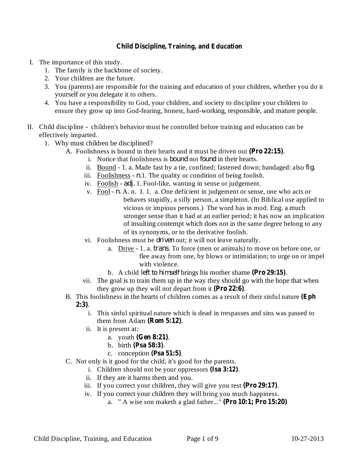## **Child Discipline, Training, and Education**

- I. The importance of this study.
	- 1. The family is the backbone of society.
	- 2. Your children are the future.
	- 3. You (parents) are responsible for the training and education of your children, whether you do it yourself or you delegate it to others.
	- 4. You have a responsibility to God, your children, and society to discipline your children to ensure they grow up into God-fearing, honest, hard-working, responsible, and mature people.
- II. Child discipline children's behavior must be controlled before training and education can be effectively imparted.
	- 1. Why must children be disciplined?
		- A. Foolishness is bound in their hearts and it must be driven out (Pro 22:15).
			- i. Notice that foolishness is *bound* not *found* in their hearts.
			- ii. Bound 1. a. Made fast by a tie, confined; fastened down; bandaged: also *fig*.
			- iii. Foolishness  $n.1$ . The quality or condition of being foolish.
			- iv. Foolish *adj.* 1. Fool-like, wanting in sense or judgement.
			- v. Fool n. A. n. I. 1. a. One deficient in judgement or sense, one who acts or behaves stupidly, a silly person, a simpleton. (In Biblical use applied to vicious or impious persons.) The word has in mod. Eng. a much stronger sense than it had at an earlier period; it has now an implication of insulting contempt which does not in the same degree belong to any of its synonyms, or to the derivative foolish.
			- vi. Foolishness must be *driven* out; it will not leave naturally.
				- a. Drive 1. a. *trans*. To force (men or animals) to move on before one, or flee away from one, by blows or intimidation; to urge on or impel with violence.
				- b. A child *left to himself* brings his mother shame (Pro 29:15).
			- vii. The goal is to train them up in the way they should go with the hope that when they grow up they will not depart from it  $(Pro 22:6)$ .
		- B. This foolishness in the hearts of children comes as a result of their sinful nature **(Eph** . **2:3)**
			- i. This sinful spiritual nature which is dead in trespasses and sins was passed to them from Adam  $(Rom 5:12)$ .
			- ii. It is present at:
				- a. youth (**Gen 8:21**).
				- **b.** birth (Psa 58:3).
				- c. conception  $(Psa 51:5)$ .
		- C. Not only is it good for the child, it's good for the parents.
			- i. Children should not be your oppressors (Isa 3:12).
			- ii. If they are it harms them and you.
			- iii. If you correct your children, they will give you rest ( $\textbf{Pro 29:17}$ ).
			- iv. If you correct your children they will bring you much happiness.
				- a. " A wise son maketh a glad father..." **(Pro 10:1; Pro 15:20)**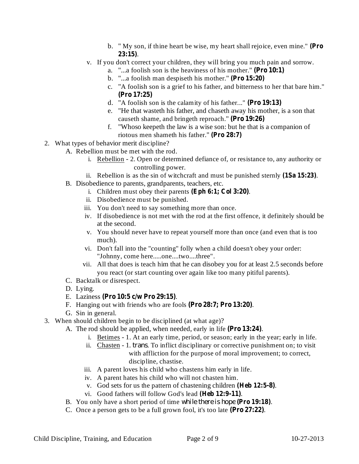- b. " My son, if thine heart be wise, my heart shall rejoice, even mine." **(Pro** . **23:15)**
- v. If you don't correct your children, they will bring you much pain and sorrow.
	- a. "...a foolish son is the heaviness of his mother." **(Pro 10:1)**
	- b. "...a foolish man despiseth his mother." **(Pro 15:20)**
	- c. "A foolish son is a grief to his father, and bitterness to her that bare him." **(Pro 17:25)**
	- d. "A foolish son is the calamity of his father..." **(Pro 19:13)**
	- e. "He that wasteth his father, and chaseth away his mother, is a son that causeth shame, and bringeth reproach." **(Pro 19:26)**
	- f. "Whoso keepeth the law is a wise son: but he that is a companion of riotous men shameth his father." **(Pro 28:7)**
- 2. What types of behavior merit discipline?
	- A. Rebellion must be met with the rod.
		- i. Rebellion 2. Open or determined defiance of, or resistance to, any authority or controlling power.
		- ii. Rebellion is as the sin of witchcraft and must be punished sternly  $(1Sa 15:23)$ .
	- B. Disobedience to parents, grandparents, teachers, etc.
		- i. Children must obey their parents (Eph 6:1; Col 3:20).
			- ii. Disobedience must be punished.
			- iii. You don't need to say something more than once.
			- iv. If disobedience is not met with the rod at the first offence, it definitely should be at the second.
			- v. You should never have to repeat yourself more than once (and even that is too much).
			- vi. Don't fall into the "counting" folly when a child doesn't obey your order: "Johnny, come here.....one....two....three".
			- vii. All that does is teach him that he can disobey you for at least 2.5 seconds before you react (or start counting over again like too many pitiful parents).
	- C. Backtalk or disrespect.
	- D. Lying.
	- E. Laziness . **(Pro 10:5 c/w Pro 29:15)**
	- F. Hanging out with friends who are fools (Pro 28:7; Pro 13:20).
	- G. Sin in general.
- 3. When should children begin to be disciplined (at what age)?
	- A. The rod should be applied, when needed, early in life (Pro 13:24).
		- i. Betimes 1. At an early time, period, or season; early in the year; early in life.
		- ii. Chasten 1. *trans*. To inflict disciplinary or corrective punishment on; to visit with affliction for the purpose of moral improvement; to correct, discipline, chastise.
		- iii. A parent loves his child who chastens him early in life.
		- iv. A parent hates his child who will not chasten him.
		- v. God sets for us the pattern of chastening children (Heb 12:5-8).
		- vi. Good fathers will follow God's lead (Heb 12:9-11).
	- B. You only have a short period of time while there is hope (Pro 19:18).
	- C. Once a person gets to be a full grown fool, it's too late  $(Pro 27:22)$ .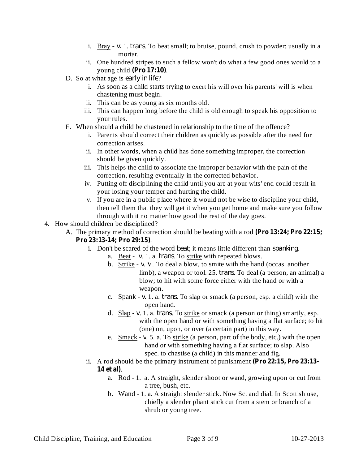- i. Bray v. 1. *trans*. To beat small; to bruise, pound, crush to powder; usually in a mortar.
- ii. One hundred stripes to such a fellow won't do what a few good ones would to a young child . **(Pro 17:10)**
- **D.** So at what age is early in life?
	- i. As soon as a child starts trying to exert his will over his parents' will is when chastening must begin.
	- ii. This can be as young as six months old.
	- iii. This can happen long before the child is old enough to speak his opposition to your rules.
- E. When should a child be chastened in relationship to the time of the offence?
	- i. Parents should correct their children as quickly as possible after the need for correction arises.
	- ii. In other words, when a child has done something improper, the correction should be given quickly.
	- iii. This helps the child to associate the improper behavior with the pain of the correction, resulting eventually in the corrected behavior.
	- iv. Putting off disciplining the child until you are at your wits' end could result in your losing your temper and hurting the child.
	- v. If you are in a public place where it would not be wise to discipline your child, then tell them that they will get it when you get home and make sure you follow through with it no matter how good the rest of the day goes.
- 4. How should children be disciplined?
	- A. The primary method of correction should be beating with a rod **(Pro 13:24; Pro 22:15;**

## . **Pro 23:13-14; Pro 29:15)**

- i. Don't be scared of the word *beat*; it means little different than *spanking*.
	- a. Beat v. 1. a. *trans*. To strike with repeated blows.
		- b. Strike v. V. To deal a blow, to smite with the hand (occas. another limb), a weapon or tool. 25. *trans*. To deal (a person, an animal) a blow; to hit with some force either with the hand or with a weapon.
		- c. Spank  $v$ . 1. a. *trans*. To slap or smack (a person, esp. a child) with the open hand.
		- d. Slap v. 1. a. *trans*. To strike or smack (a person or thing) smartly, esp. with the open hand or with something having a flat surface; to hit (one) on, upon, or over (a certain part) in this way.
		- e.  $\frac{\text{Smack}}{ }$  v. 5. a. To strike (a person, part of the body, etc.) with the open hand or with something having a flat surface; to slap. Also spec. to chastise (a child) in this manner and fig.
- ii. A rod should be the primary instrument of punishment **(Pro 22:15, Pro 23:13-** . **14 et al)**
	- a. Rod 1. a. A straight, slender shoot or wand, growing upon or cut from a tree, bush, etc.
	- b. Wand 1. a. A straight slender stick. Now Sc. and dial. In Scottish use, chiefly a slender pliant stick cut from a stem or branch of a shrub or young tree.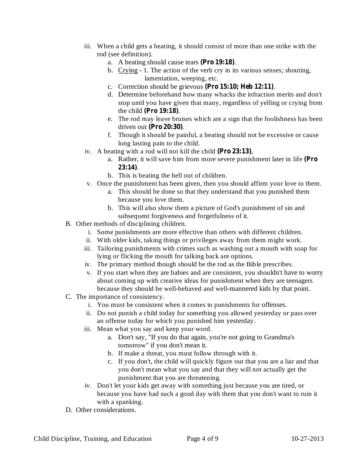- iii. When a child gets a beating, it should consist of more than one strike with the rod (see definition).
	- a. A beating should cause tears (Pro 19:18).
	- b. Crying 1. The action of the verb cry in its various senses; shouting, lamentation, weeping, etc.
	- c. Correction should be grievous (Pro 15:10; Heb 12:11).
	- d. Determine beforehand how many whacks the infraction merits and don't stop until you have given that many, regardless of yelling or crying from the child (Pro 19:18).
	- e. The rod may leave bruises which are a sign that the foolishness has been driven out (Pro 20:30).
	- f. Though it should be painful, a beating should not be excessive or cause long lasting pain to the child.
- iv. A beating with a rod will not kill the child (Pro 23:13),
	- a. Rather, it will save him from more severe punishment later in life **(Pro** . **23:14)**
	- b. This is beating the hell out of children.
- v. Once the punishment has been given, then you should affirm your love to them.
	- a. This should be done so that they understand that you punished them because you love them.
	- b. This will also show them a picture of God's punishment of sin and subsequent forgiveness and forgetfulness of it.
- B. Other methods of disciplining children.
	- i. Some punishments are more effective than others with different children.
	- ii. With older kids, taking things or privileges away from them might work.
	- iii. Tailoring punishments with crimes such as washing out a mouth with soap for lying or flicking the mouth for talking back are options.
	- iv. The primary method though should be the rod as the Bible prescribes.
	- v. If you start when they are babies and are consistent, you shouldn't have to worry about coming up with creative ideas for punishment when they are teenagers because they should be well-behaved and well-mannered kids by that point.
- C. The importance of consistency.
	- i. You must be consistent when it comes to punishments for offenses.
	- ii. Do not punish a child today for something you allowed yesterday or pass over an offense today for which you punished him yesterday.
	- iii. Mean what you say and keep your word.
		- a. Don't say, "If you do that again, you're not going to Grandma's tomorrow" if you don't mean it.
		- b. If make a threat, you must follow through with it.
		- c. If you don't, the child will quickly figure out that you are a liar and that you don't mean what you say and that they will not actually get the punishment that you are threatening.
	- iv. Don't let your kids get away with something just because you are tired, or because you have had such a good day with them that you don't want to ruin it with a spanking.
- D. Other considerations.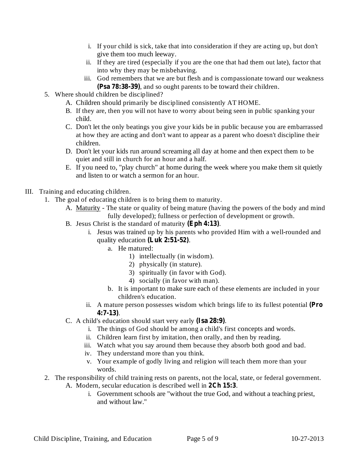- i. If your child is sick, take that into consideration if they are acting up, but don't give them too much leeway.
- ii. If they are tired (especially if you are the one that had them out late), factor that into why they may be misbehaving.
- iii. God remembers that we are but flesh and is compassionate toward our weakness (Psa 78:38-39), and so ought parents to be toward their children.
- 5. Where should children be disciplined?
	- A. Children should primarily be disciplined consistently AT HOME.
	- B. If they are, then you will not have to worry about being seen in public spanking your child.
	- C. Don't let the only beatings you give your kids be in public because you are embarrassed at how they are acting and don't want to appear as a parent who doesn't discipline their children.
	- D. Don't let your kids run around screaming all day at home and then expect them to be quiet and still in church for an hour and a half.
	- E. If you need to, "play church" at home during the week where you make them sit quietly and listen to or watch a sermon for an hour.
- III. Training and educating children.
	- 1. The goal of educating children is to bring them to maturity.
		- A. Maturity The state or quality of being mature (having the powers of the body and mind fully developed); fullness or perfection of development or growth.
		- B. Jesus Christ is the standard of maturity (Eph 4:13).
			- i. Jesus was trained up by his parents who provided Him with a well-rounded and quality education (Luk 2:51-52).
				- a. He matured:
					- 1) intellectually (in wisdom).
					- 2) physically (in stature).
					- 3) spiritually (in favor with God).
					- 4) socially (in favor with man).
				- b. It is important to make sure each of these elements are included in your children's education.
			- ii. A mature person possesses wisdom which brings life to its fullest potential **(Pro** . **4:7-13)**
		- C. A child's education should start very early (Isa 28:9).
			- i. The things of God should be among a child's first concepts and words.
			- ii. Children learn first by imitation, then orally, and then by reading.
			- iii. Watch what you say around them because they absorb both good and bad.
			- iv. They understand more than you think.
			- v. Your example of godly living and religion will teach them more than your words.
	- 2. The responsibility of child training rests on parents, not the local, state, or federal government. A. Modern, secular education is described well in 2Ch 15:3.
		- i. Government schools are "without the true God, and without a teaching priest, and without law."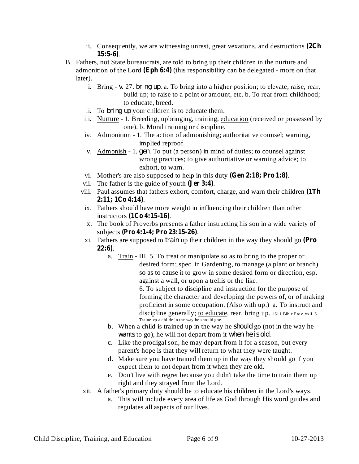- ii. Consequently, we are witnessing unrest, great vexations, and destructions **(2Ch** . **15:5-6)**
- B. Fathers, not State bureaucrats, are told to bring up their children in the nurture and admonition of the Lord (Eph 6:4) (this responsibility can be delegated - more on that later).
	- i. Bring v. 27. *bring up*. a. To bring into a higher position; to elevate, raise, rear, build up; to raise to a point or amount, etc. b. To rear from childhood; to educate, breed.
	- ii. To *bring up* your children is to educate them.
	- iii. Nurture 1. Breeding, upbringing, training, education (received or possessed by one). b. Moral training or discipline.
	- iv. Admonition 1. The action of admonishing; authoritative counsel; warning, implied reproof.
	- v. Admonish 1. gen. To put (a person) in mind of duties; to counsel against wrong practices; to give authoritative or warning advice; to exhort, to warn.
	- vi. Mother's are also supposed to help in this duty  $(Gen 2:18; Pro 1:8)$ .
	- vii. The father is the guide of youth  $Jer 3:4$ ).
	- viii. Paul assumes that fathers exhort, comfort, charge, and warn their children **(1Th** . **2:11; 1Co 4:14)**
	- ix. Fathers should have more weight in influencing their children than other instructors . **(1Co 4:15-16)**
	- x. The book of Proverbs presents a father instructing his son in a wide variety of subjects . **(Pro 4:1-4; Pro 23:15-26)**
	- xi. Fathers are supposed to *train* up their children in the way they should go (Pro . **22:6)**
		- a. Train III. 5. To treat or manipulate so as to bring to the proper or desired form; spec. in Gardening, to manage (a plant or branch) so as to cause it to grow in some desired form or direction, esp. against a wall, or upon a trellis or the like.

6. To subject to discipline and instruction for the purpose of forming the character and developing the powers of, or of making proficient in some occupation. (Also with up.) a. To instruct and discipline generally; to educate, rear, bring up. 1611 Bible Prov. xxii. 6 Traine vp a childe in the way he should goe.

- b. When a child is trained up in the way he *should* go (not in the way he wants to go), he will not depart from it when he is old.
- c. Like the prodigal son, he may depart from it for a season, but every parent's hope is that they will return to what they were taught.
- d. Make sure you have trained them up in the way they should go if you expect them to not depart from it when they are old.
- e. Don't live with regret because you didn't take the time to train them up right and they strayed from the Lord.
- xii. A father's primary duty should be to educate his children in the Lord's ways.
	- a. This will include every area of life as God through His word guides and regulates all aspects of our lives.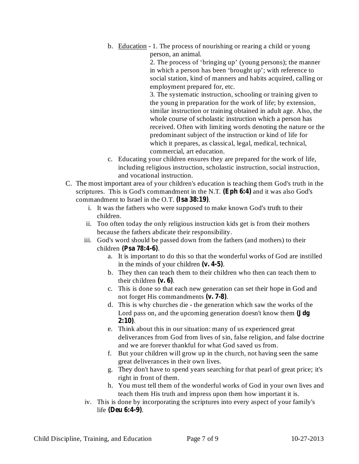b. Education - 1. The process of nourishing or rearing a child or young person, an animal.

> 2. The process of 'bringing up' (young persons); the manner in which a person has been 'brought up'; with reference to social station, kind of manners and habits acquired, calling or employment prepared for, etc.

> 3. The systematic instruction, schooling or training given to the young in preparation for the work of life; by extension, similar instruction or training obtained in adult age. Also, the whole course of scholastic instruction which a person has received. Often with limiting words denoting the nature or the predominant subject of the instruction or kind of life for which it prepares, as classical, legal, medical, technical, commercial, art education.

- c. Educating your children ensures they are prepared for the work of life, including religious instruction, scholastic instruction, social instruction, and vocational instruction.
- C. The most important area of your children's education is teaching them God's truth in the scriptures. This is God's commandment in the N.T. (Eph 6:4) and it was also God's commandment to Israel in the O.T. (Isa 38:19).
	- i. It was the fathers who were supposed to make known God's truth to their children.
	- ii. Too often today the only religious instruction kids get is from their mothers because the fathers abdicate their responsibility.
	- iii. God's word should be passed down from the fathers (and mothers) to their children (Psa 78:4-6).
		- a. It is important to do this so that the wonderful works of God are instilled in the minds of your children  $(v. 4-5)$ .
		- b. They then can teach them to their children who then can teach them to their children  $(\mathbf{v}, \mathbf{6})$ .
		- c. This is done so that each new generation can set their hope in God and not forget His commandments (v. 7-8).
		- d. This is why churches die the generation which saw the works of the Lord pass on, and the upcoming generation doesn't know them **(Jdg** . **2:10)**
		- e. Think about this in our situation: many of us experienced great deliverances from God from lives of sin, false religion, and false doctrine and we are forever thankful for what God saved us from.
		- f. But your children will grow up in the church, not having seen the same great deliverances in their own lives.
		- g. They don't have to spend years searching for that pearl of great price; it's right in front of them.
		- h. You must tell them of the wonderful works of God in your own lives and teach them His truth and impress upon them how important it is.
	- iv. This is done by incorporating the scriptures into every aspect of your family's life (Deu 6:4-9).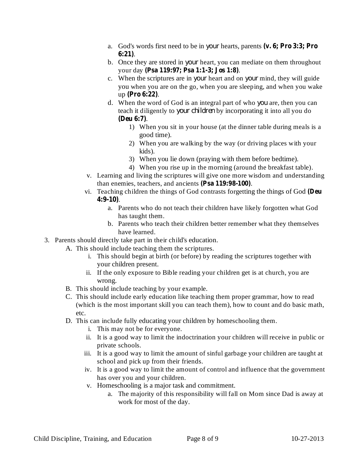- a. God's words first need to be in hearts, parents *your* **(v. 6; Pro 3:3; Pro** . **6:21)**
- b. Once they are stored in *your* heart, you can mediate on them throughout your day . **(Psa 119:97; Psa 1:1-3; Jos 1:8)**
- c. When the scriptures are in *your* heart and on *your* mind, they will guide you when you are on the go, when you are sleeping, and when you wake up (Pro 6:22).
- d. When the word of God is an integral part of who you are, then you can teach it diligently to your children by incorporating it into all you do . **(Deu 6:7)**
	- 1) When you sit in your house (at the dinner table during meals is a good time).
	- 2) When you are walking by the way (or driving places with your kids).
	- 3) When you lie down (praying with them before bedtime).
	- 4) When you rise up in the morning (around the breakfast table).
- v. Learning and living the scriptures will give one more wisdom and understanding than enemies, teachers, and ancients (Psa 119:98-100).
- vi. Teaching children the things of God contrasts forgetting the things of God **(Deu** . **4:9-10)**
	- a. Parents who do not teach their children have likely forgotten what God has taught them.
	- b. Parents who teach their children better remember what they themselves have learned.
- 3. Parents should directly take part in their child's education.
	- A. This should include teaching them the scriptures.
		- i. This should begin at birth (or before) by reading the scriptures together with your children present.
		- ii. If the only exposure to Bible reading your children get is at church, you are wrong.
	- B. This should include teaching by your example.
	- C. This should include early education like teaching them proper grammar, how to read (which is the most important skill you can teach them), how to count and do basic math, etc.
	- D. This can include fully educating your children by homeschooling them.
		- i. This may not be for everyone.
		- ii. It is a good way to limit the indoctrination your children will receive in public or private schools.
		- iii. It is a good way to limit the amount of sinful garbage your children are taught at school and pick up from their friends.
		- iv. It is a good way to limit the amount of control and influence that the government has over you and your children.
		- v. Homeschooling is a major task and commitment.
			- a. The majority of this responsibility will fall on Mom since Dad is away at work for most of the day.